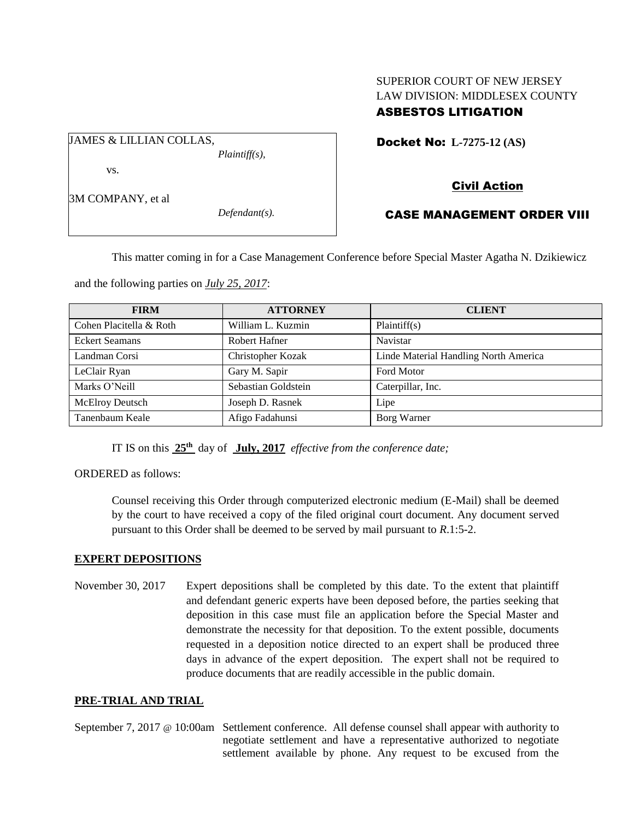## SUPERIOR COURT OF NEW JERSEY LAW DIVISION: MIDDLESEX COUNTY ASBESTOS LITIGATION

Docket No: **L-7275-12 (AS)** 

vs.

3M COMPANY, et al

JAMES & LILLIAN COLLAS,

*Defendant(s).*

*Plaintiff(s),*

# Civil Action

## CASE MANAGEMENT ORDER VIII

This matter coming in for a Case Management Conference before Special Master Agatha N. Dzikiewicz

and the following parties on *July 25, 2017*:

| <b>FIRM</b>             | <b>ATTORNEY</b>      | <b>CLIENT</b>                         |
|-------------------------|----------------------|---------------------------------------|
| Cohen Placitella & Roth | William L. Kuzmin    | Plaintiff(s)                          |
| <b>Eckert Seamans</b>   | <b>Robert Hafner</b> | Navistar                              |
| Landman Corsi           | Christopher Kozak    | Linde Material Handling North America |
| LeClair Ryan            | Gary M. Sapir        | <b>Ford Motor</b>                     |
| Marks O'Neill           | Sebastian Goldstein  | Caterpillar, Inc.                     |
| McElroy Deutsch         | Joseph D. Rasnek     | Lipe                                  |
| Tanenbaum Keale         | Afigo Fadahunsi      | Borg Warner                           |

IT IS on this  $25<sup>th</sup>$  day of July, 2017 *effective from the conference date*;

ORDERED as follows:

Counsel receiving this Order through computerized electronic medium (E-Mail) shall be deemed by the court to have received a copy of the filed original court document. Any document served pursuant to this Order shall be deemed to be served by mail pursuant to *R*.1:5-2.

### **EXPERT DEPOSITIONS**

November 30, 2017 Expert depositions shall be completed by this date. To the extent that plaintiff and defendant generic experts have been deposed before, the parties seeking that deposition in this case must file an application before the Special Master and demonstrate the necessity for that deposition. To the extent possible, documents requested in a deposition notice directed to an expert shall be produced three days in advance of the expert deposition. The expert shall not be required to produce documents that are readily accessible in the public domain.

### **PRE-TRIAL AND TRIAL**

September 7, 2017 @ 10:00am Settlement conference. All defense counsel shall appear with authority to negotiate settlement and have a representative authorized to negotiate settlement available by phone. Any request to be excused from the